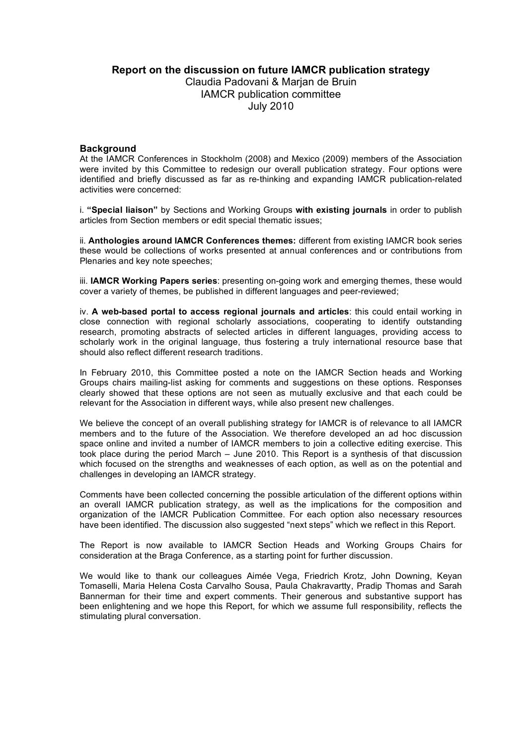# **Report on the discussion on future IAMCR publication strategy**

Claudia Padovani & Marjan de Bruin IAMCR publication committee July 2010

### **Background**

At the IAMCR Conferences in Stockholm (2008) and Mexico (2009) members of the Association were invited by this Committee to redesign our overall publication strategy. Four options were identified and briefly discussed as far as re-thinking and expanding IAMCR publication-related activities were concerned:

i. **"Special liaison"** by Sections and Working Groups **with existing journals** in order to publish articles from Section members or edit special thematic issues;

ii. **Anthologies around IAMCR Conferences themes:** different from existing IAMCR book series these would be collections of works presented at annual conferences and or contributions from Plenaries and key note speeches;

iii. **IAMCR Working Papers series**: presenting on-going work and emerging themes, these would cover a variety of themes, be published in different languages and peer-reviewed;

iv. **A web-based portal to access regional journals and articles**: this could entail working in close connection with regional scholarly associations, cooperating to identify outstanding research, promoting abstracts of selected articles in different languages, providing access to scholarly work in the original language, thus fostering a truly international resource base that should also reflect different research traditions.

In February 2010, this Committee posted a note on the IAMCR Section heads and Working Groups chairs mailing-list asking for comments and suggestions on these options. Responses clearly showed that these options are not seen as mutually exclusive and that each could be relevant for the Association in different ways, while also present new challenges.

We believe the concept of an overall publishing strategy for IAMCR is of relevance to all IAMCR members and to the future of the Association. We therefore developed an ad hoc discussion space online and invited a number of IAMCR members to join a collective editing exercise. This took place during the period March – June 2010. This Report is a synthesis of that discussion which focused on the strengths and weaknesses of each option, as well as on the potential and challenges in developing an IAMCR strategy.

Comments have been collected concerning the possible articulation of the different options within an overall IAMCR publication strategy, as well as the implications for the composition and organization of the IAMCR Publication Committee. For each option also necessary resources have been identified. The discussion also suggested "next steps" which we reflect in this Report.

The Report is now available to IAMCR Section Heads and Working Groups Chairs for consideration at the Braga Conference, as a starting point for further discussion.

We would like to thank our colleagues Aimée Vega, Friedrich Krotz, John Downing, Keyan Tomaselli, Maria Helena Costa Carvalho Sousa, Paula Chakravartty, Pradip Thomas and Sarah Bannerman for their time and expert comments. Their generous and substantive support has been enlightening and we hope this Report, for which we assume full responsibility, reflects the stimulating plural conversation.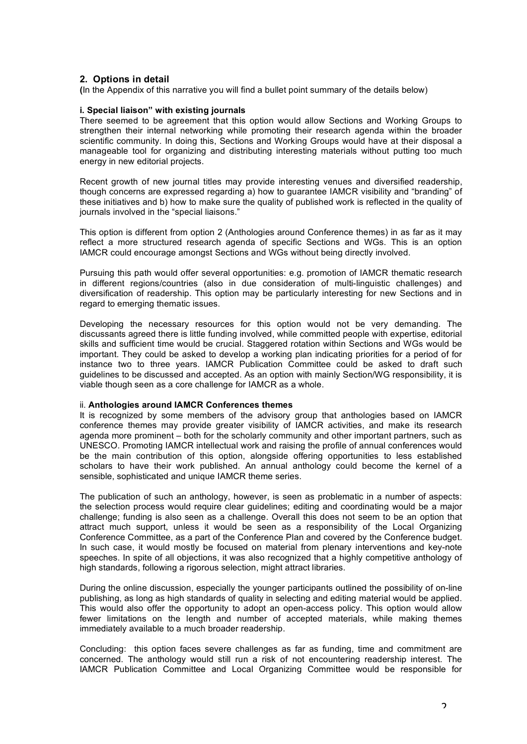# **2. Options in detail**

**(**In the Appendix of this narrative you will find a bullet point summary of the details below)

### **i. Special liaison" with existing journals**

There seemed to be agreement that this option would allow Sections and Working Groups to strengthen their internal networking while promoting their research agenda within the broader scientific community. In doing this, Sections and Working Groups would have at their disposal a manageable tool for organizing and distributing interesting materials without putting too much energy in new editorial projects.

Recent growth of new journal titles may provide interesting venues and diversified readership, though concerns are expressed regarding a) how to guarantee IAMCR visibility and "branding" of these initiatives and b) how to make sure the quality of published work is reflected in the quality of journals involved in the "special liaisons."

This option is different from option 2 (Anthologies around Conference themes) in as far as it may reflect a more structured research agenda of specific Sections and WGs. This is an option IAMCR could encourage amongst Sections and WGs without being directly involved.

Pursuing this path would offer several opportunities: e.g. promotion of IAMCR thematic research in different regions/countries (also in due consideration of multi-linguistic challenges) and diversification of readership. This option may be particularly interesting for new Sections and in regard to emerging thematic issues.

Developing the necessary resources for this option would not be very demanding. The discussants agreed there is little funding involved, while committed people with expertise, editorial skills and sufficient time would be crucial. Staggered rotation within Sections and WGs would be important. They could be asked to develop a working plan indicating priorities for a period of for instance two to three years. IAMCR Publication Committee could be asked to draft such guidelines to be discussed and accepted. As an option with mainly Section/WG responsibility, it is viable though seen as a core challenge for IAMCR as a whole.

#### ii. **Anthologies around IAMCR Conferences themes**

It is recognized by some members of the advisory group that anthologies based on IAMCR conference themes may provide greater visibility of IAMCR activities, and make its research agenda more prominent – both for the scholarly community and other important partners, such as UNESCO. Promoting IAMCR intellectual work and raising the profile of annual conferences would be the main contribution of this option, alongside offering opportunities to less established scholars to have their work published. An annual anthology could become the kernel of a sensible, sophisticated and unique IAMCR theme series.

The publication of such an anthology, however, is seen as problematic in a number of aspects: the selection process would require clear guidelines; editing and coordinating would be a major challenge; funding is also seen as a challenge. Overall this does not seem to be an option that attract much support, unless it would be seen as a responsibility of the Local Organizing Conference Committee, as a part of the Conference Plan and covered by the Conference budget. In such case, it would mostly be focused on material from plenary interventions and key-note speeches. In spite of all objections, it was also recognized that a highly competitive anthology of high standards, following a rigorous selection, might attract libraries.

During the online discussion, especially the younger participants outlined the possibility of on-line publishing, as long as high standards of quality in selecting and editing material would be applied. This would also offer the opportunity to adopt an open-access policy. This option would allow fewer limitations on the length and number of accepted materials, while making themes immediately available to a much broader readership.

Concluding: this option faces severe challenges as far as funding, time and commitment are concerned. The anthology would still run a risk of not encountering readership interest. The IAMCR Publication Committee and Local Organizing Committee would be responsible for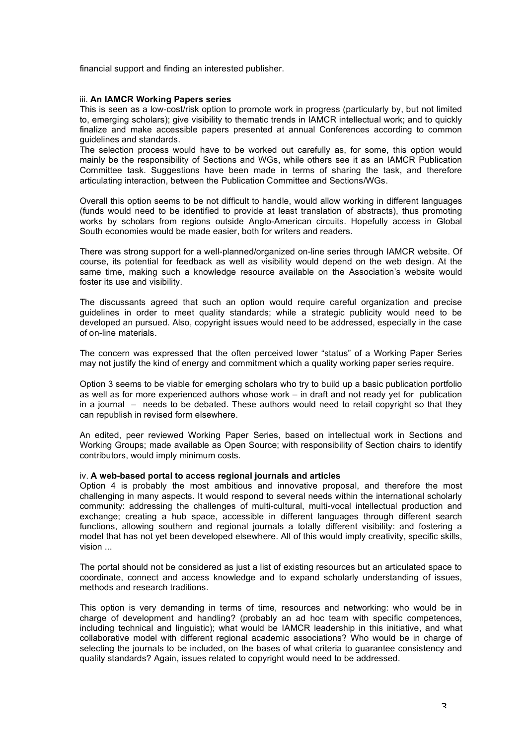financial support and finding an interested publisher.

#### iii. **An IAMCR Working Papers series**

This is seen as a low-cost/risk option to promote work in progress (particularly by, but not limited to, emerging scholars); give visibility to thematic trends in IAMCR intellectual work; and to quickly finalize and make accessible papers presented at annual Conferences according to common guidelines and standards.

The selection process would have to be worked out carefully as, for some, this option would mainly be the responsibility of Sections and WGs, while others see it as an IAMCR Publication Committee task. Suggestions have been made in terms of sharing the task, and therefore articulating interaction, between the Publication Committee and Sections/WGs.

Overall this option seems to be not difficult to handle, would allow working in different languages (funds would need to be identified to provide at least translation of abstracts), thus promoting works by scholars from regions outside Anglo-American circuits. Hopefully access in Global South economies would be made easier, both for writers and readers.

There was strong support for a well-planned/organized on-line series through IAMCR website. Of course, its potential for feedback as well as visibility would depend on the web design. At the same time, making such a knowledge resource available on the Association's website would foster its use and visibility.

The discussants agreed that such an option would require careful organization and precise guidelines in order to meet quality standards; while a strategic publicity would need to be developed an pursued. Also, copyright issues would need to be addressed, especially in the case of on-line materials.

The concern was expressed that the often perceived lower "status" of a Working Paper Series may not justify the kind of energy and commitment which a quality working paper series require.

Option 3 seems to be viable for emerging scholars who try to build up a basic publication portfolio as well as for more experienced authors whose work – in draft and not ready yet for publication in a journal – needs to be debated. These authors would need to retail copyright so that they can republish in revised form elsewhere.

An edited, peer reviewed Working Paper Series, based on intellectual work in Sections and Working Groups; made available as Open Source; with responsibility of Section chairs to identify contributors, would imply minimum costs.

#### iv. **A web-based portal to access regional journals and articles**

Option 4 is probably the most ambitious and innovative proposal, and therefore the most challenging in many aspects. It would respond to several needs within the international scholarly community: addressing the challenges of multi-cultural, multi-vocal intellectual production and exchange; creating a hub space, accessible in different languages through different search functions, allowing southern and regional journals a totally different visibility: and fostering a model that has not yet been developed elsewhere. All of this would imply creativity, specific skills, vision ...

The portal should not be considered as just a list of existing resources but an articulated space to coordinate, connect and access knowledge and to expand scholarly understanding of issues, methods and research traditions.

This option is very demanding in terms of time, resources and networking: who would be in charge of development and handling? (probably an ad hoc team with specific competences, including technical and linguistic); what would be IAMCR leadership in this initiative, and what collaborative model with different regional academic associations? Who would be in charge of selecting the journals to be included, on the bases of what criteria to guarantee consistency and quality standards? Again, issues related to copyright would need to be addressed.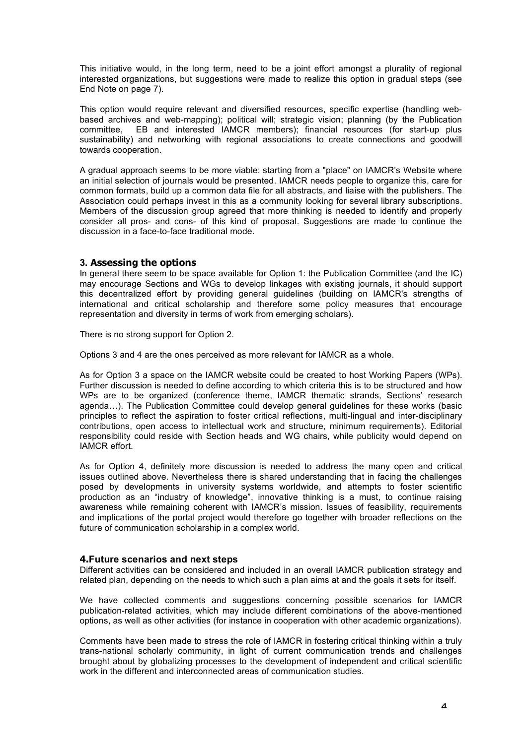This initiative would, in the long term, need to be a joint effort amongst a plurality of regional interested organizations, but suggestions were made to realize this option in gradual steps (see End Note on page 7).

This option would require relevant and diversified resources, specific expertise (handling webbased archives and web-mapping); political will; strategic vision; planning (by the Publication committee, EB and interested IAMCR members); financial resources (for start-up plus sustainability) and networking with regional associations to create connections and goodwill towards cooperation.

A gradual approach seems to be more viable: starting from a "place" on IAMCR's Website where an initial selection of journals would be presented. IAMCR needs people to organize this, care for common formats, build up a common data file for all abstracts, and liaise with the publishers. The Association could perhaps invest in this as a community looking for several library subscriptions. Members of the discussion group agreed that more thinking is needed to identify and properly consider all pros- and cons- of this kind of proposal. Suggestions are made to continue the discussion in a face-to-face traditional mode.

# **3. Assessing the options**

In general there seem to be space available for Option 1: the Publication Committee (and the IC) may encourage Sections and WGs to develop linkages with existing journals, it should support this decentralized effort by providing general guidelines (building on IAMCR's strengths of international and critical scholarship and therefore some policy measures that encourage representation and diversity in terms of work from emerging scholars).

There is no strong support for Option 2.

Options 3 and 4 are the ones perceived as more relevant for IAMCR as a whole.

As for Option 3 a space on the IAMCR website could be created to host Working Papers (WPs). Further discussion is needed to define according to which criteria this is to be structured and how WPs are to be organized (conference theme, IAMCR thematic strands, Sections' research agenda…). The Publication Committee could develop general guidelines for these works (basic principles to reflect the aspiration to foster critical reflections, multi-lingual and inter-disciplinary contributions, open access to intellectual work and structure, minimum requirements). Editorial responsibility could reside with Section heads and WG chairs, while publicity would depend on IAMCR effort.

As for Option 4, definitely more discussion is needed to address the many open and critical issues outlined above. Nevertheless there is shared understanding that in facing the challenges posed by developments in university systems worldwide, and attempts to foster scientific production as an "industry of knowledge", innovative thinking is a must, to continue raising awareness while remaining coherent with IAMCR's mission. Issues of feasibility, requirements and implications of the portal project would therefore go together with broader reflections on the future of communication scholarship in a complex world.

# **4.Future scenarios and next steps**

Different activities can be considered and included in an overall IAMCR publication strategy and related plan, depending on the needs to which such a plan aims at and the goals it sets for itself.

We have collected comments and suggestions concerning possible scenarios for IAMCR publication-related activities, which may include different combinations of the above-mentioned options, as well as other activities (for instance in cooperation with other academic organizations).

Comments have been made to stress the role of IAMCR in fostering critical thinking within a truly trans-national scholarly community, in light of current communication trends and challenges brought about by globalizing processes to the development of independent and critical scientific work in the different and interconnected areas of communication studies.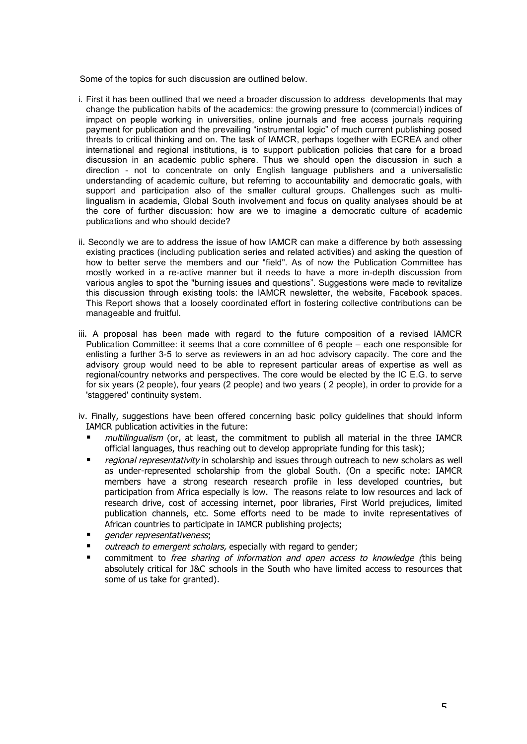Some of the topics for such discussion are outlined below.

- i. First it has been outlined that we need a broader discussion to address developments that may change the publication habits of the academics: the growing pressure to (commercial) indices of impact on people working in universities, online journals and free access journals requiring payment for publication and the prevailing "instrumental logic" of much current publishing posed threats to critical thinking and on. The task of IAMCR, perhaps together with ECREA and other international and regional institutions, is to support publication policies that care for a broad discussion in an academic public sphere. Thus we should open the discussion in such a direction - not to concentrate on only English language publishers and a universalistic understanding of academic culture, but referring to accountability and democratic goals, with support and participation also of the smaller cultural groups. Challenges such as multilingualism in academia, Global South involvement and focus on quality analyses should be at the core of further discussion: how are we to imagine a democratic culture of academic publications and who should decide?
- ii. Secondly we are to address the issue of how IAMCR can make a difference by both assessing existing practices (including publication series and related activities) and asking the question of how to better serve the members and our "field". As of now the Publication Committee has mostly worked in a re-active manner but it needs to have a more in-depth discussion from various angles to spot the "burning issues and questions". Suggestions were made to revitalize this discussion through existing tools: the IAMCR newsletter, the website, Facebook spaces. This Report shows that a loosely coordinated effort in fostering collective contributions can be manageable and fruitful.
- iii. A proposal has been made with regard to the future composition of a revised IAMCR Publication Committee: it seems that a core committee of 6 people – each one responsible for enlisting a further 3-5 to serve as reviewers in an ad hoc advisory capacity. The core and the advisory group would need to be able to represent particular areas of expertise as well as regional/country networks and perspectives. The core would be elected by the IC E.G. to serve for six years (2 people), four years (2 people) and two years ( 2 people), in order to provide for a 'staggered' continuity system.
- iv. Finally, suggestions have been offered concerning basic policy guidelines that should inform IAMCR publication activities in the future:
	- multilingualism (or, at least, the commitment to publish all material in the three IAMCR official languages, thus reaching out to develop appropriate funding for this task);
	- regional representativity in scholarship and issues through outreach to new scholars as well as under-represented scholarship from the global South. (On a specific note: IAMCR members have a strong research research profile in less developed countries, but participation from Africa especially is low. The reasons relate to low resources and lack of research drive, cost of accessing internet, poor libraries, First World prejudices, limited publication channels, etc. Some efforts need to be made to invite representatives of African countries to participate in IAMCR publishing projects;
	- gender representativeness;
	- outreach to emergent scholars, especially with regard to gender;
	- commitment to *free sharing of information and open access to knowledge (this being* absolutely critical for J&C schools in the South who have limited access to resources that some of us take for granted).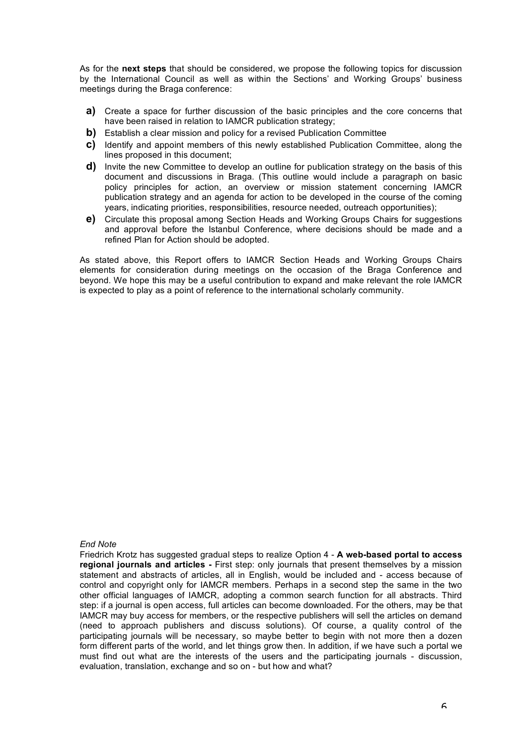As for the **next steps** that should be considered, we propose the following topics for discussion by the International Council as well as within the Sections' and Working Groups' business meetings during the Braga conference:

- **a)** Create a space for further discussion of the basic principles and the core concerns that have been raised in relation to IAMCR publication strategy;
- **b)** Establish a clear mission and policy for a revised Publication Committee
- **c)** Identify and appoint members of this newly established Publication Committee, along the lines proposed in this document;
- **d)** Invite the new Committee to develop an outline for publication strategy on the basis of this document and discussions in Braga. (This outline would include a paragraph on basic policy principles for action, an overview or mission statement concerning IAMCR publication strategy and an agenda for action to be developed in the course of the coming years, indicating priorities, responsibilities, resource needed, outreach opportunities);
- **e)** Circulate this proposal among Section Heads and Working Groups Chairs for suggestions and approval before the Istanbul Conference, where decisions should be made and a refined Plan for Action should be adopted.

As stated above, this Report offers to IAMCR Section Heads and Working Groups Chairs elements for consideration during meetings on the occasion of the Braga Conference and beyond. We hope this may be a useful contribution to expand and make relevant the role IAMCR is expected to play as a point of reference to the international scholarly community.

#### *End Note*

Friedrich Krotz has suggested gradual steps to realize Option 4 - **A web-based portal to access regional journals and articles -** First step: only journals that present themselves by a mission statement and abstracts of articles, all in English, would be included and - access because of control and copyright only for IAMCR members. Perhaps in a second step the same in the two other official languages of IAMCR, adopting a common search function for all abstracts. Third step: if a journal is open access, full articles can become downloaded. For the others, may be that IAMCR may buy access for members, or the respective publishers will sell the articles on demand (need to approach publishers and discuss solutions). Of course, a quality control of the participating journals will be necessary, so maybe better to begin with not more then a dozen form different parts of the world, and let things grow then. In addition, if we have such a portal we must find out what are the interests of the users and the participating journals - discussion, evaluation, translation, exchange and so on - but how and what?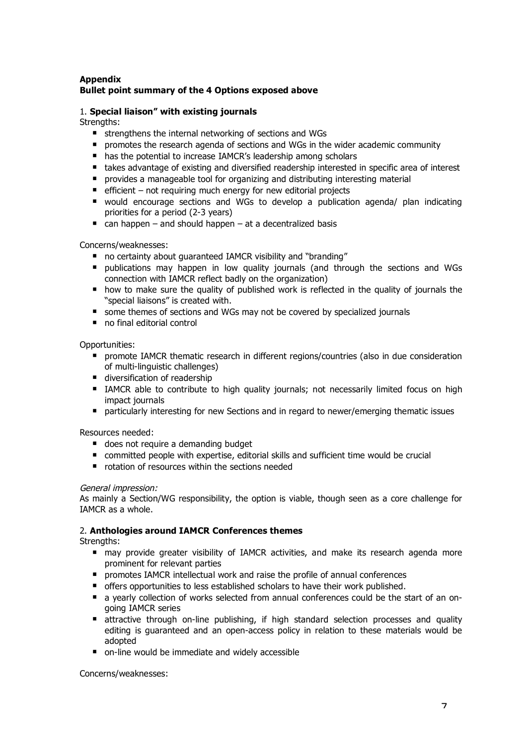# **Appendix Bullet point summary of the 4 Options exposed above**

# 1. **Special liaison" with existing journals**

Strengths:

- strengthens the internal networking of sections and WGs
- **P** promotes the research agenda of sections and WGs in the wider academic community
- has the potential to increase IAMCR's leadership among scholars
- takes advantage of existing and diversified readership interested in specific area of interest
- **P** provides a manageable tool for organizing and distributing interesting material
- $\blacksquare$  efficient not requiring much energy for new editorial projects
- would encourage sections and WGs to develop a publication agenda/ plan indicating priorities for a period (2-3 years)
- $\blacksquare$  can happen and should happen at a decentralized basis

Concerns/weaknesses:

- no certainty about quaranteed IAMCR visibility and "branding"
- publications may happen in low quality journals (and through the sections and WGs connection with IAMCR reflect badly on the organization)
- how to make sure the quality of published work is reflected in the quality of journals the "special liaisons" is created with.
- some themes of sections and WGs may not be covered by specialized journals
- no final editorial control

Opportunities:

- **P** promote IAMCR thematic research in different regions/countries (also in due consideration of multi-linguistic challenges)
- diversification of readership
- IAMCR able to contribute to high quality journals; not necessarily limited focus on high impact journals
- **Permionaries** particularly interesting for new Sections and in regard to newer/emerging thematic issues

Resources needed:

- does not require a demanding budget
- committed people with expertise, editorial skills and sufficient time would be crucial
- $\blacksquare$  rotation of resources within the sections needed

# General impression:

As mainly a Section/WG responsibility, the option is viable, though seen as a core challenge for IAMCR as a whole.

# 2. **Anthologies around IAMCR Conferences themes**

Strengths:

- may provide greater visibility of IAMCR activities, and make its research agenda more prominent for relevant parties
- **P** promotes IAMCR intellectual work and raise the profile of annual conferences
- offers opportunities to less established scholars to have their work published.
- a yearly collection of works selected from annual conferences could be the start of an ongoing IAMCR series
- **E** attractive through on-line publishing, if high standard selection processes and quality editing is guaranteed and an open-access policy in relation to these materials would be adopted
- on-line would be immediate and widely accessible

Concerns/weaknesses: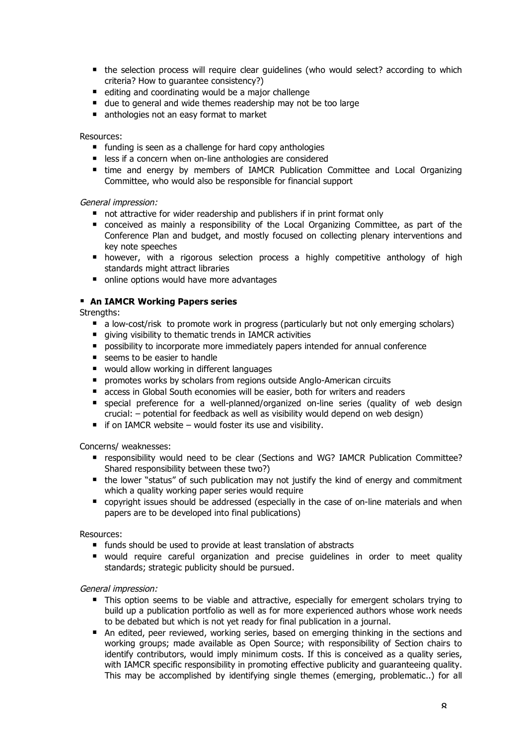- the selection process will require clear guidelines (who would select? according to which criteria? How to guarantee consistency?)
- $\blacksquare$  editing and coordinating would be a major challenge
- due to general and wide themes readership may not be too large
- nanthologies not an easy format to market

### Resources:

- **funding is seen as a challenge for hard copy anthologies**
- **E** less if a concern when on-line anthologies are considered
- **time and energy by members of IAMCR Publication Committee and Local Organizing** Committee, who would also be responsible for financial support

# General impression:

- not attractive for wider readership and publishers if in print format only
- conceived as mainly a responsibility of the Local Organizing Committee, as part of the Conference Plan and budget, and mostly focused on collecting plenary interventions and key note speeches
- **harao** however, with a rigorous selection process a highly competitive anthology of high standards might attract libraries
- online options would have more advantages

# **An IAMCR Working Papers series**

Strengths:

- a low-cost/risk to promote work in progress (particularly but not only emerging scholars)
- qiving visibility to thematic trends in IAMCR activities
- **P** possibility to incorporate more immediately papers intended for annual conference
- seems to be easier to handle
- would allow working in different languages
- **P** promotes works by scholars from regions outside Anglo-American circuits
- access in Global South economies will be easier, both for writers and readers
- special preference for a well-planned/organized on-line series (quality of web design crucial: – potential for feedback as well as visibility would depend on web design)
- $\blacksquare$  if on IAMCR website would foster its use and visibility.

Concerns/ weaknesses:

- responsibility would need to be clear (Sections and WG? IAMCR Publication Committee? Shared responsibility between these two?)
- the lower "status" of such publication may not justify the kind of energy and commitment which a quality working paper series would require
- **E** copyright issues should be addressed (especially in the case of on-line materials and when papers are to be developed into final publications)

Resources:

- funds should be used to provide at least translation of abstracts
- would require careful organization and precise guidelines in order to meet quality standards; strategic publicity should be pursued.

General impression:

- This option seems to be viable and attractive, especially for emergent scholars trying to build up a publication portfolio as well as for more experienced authors whose work needs to be debated but which is not yet ready for final publication in a journal.
- An edited, peer reviewed, working series, based on emerging thinking in the sections and working groups; made available as Open Source; with responsibility of Section chairs to identify contributors, would imply minimum costs. If this is conceived as a quality series, with IAMCR specific responsibility in promoting effective publicity and guaranteeing quality. This may be accomplished by identifying single themes (emerging, problematic..) for all